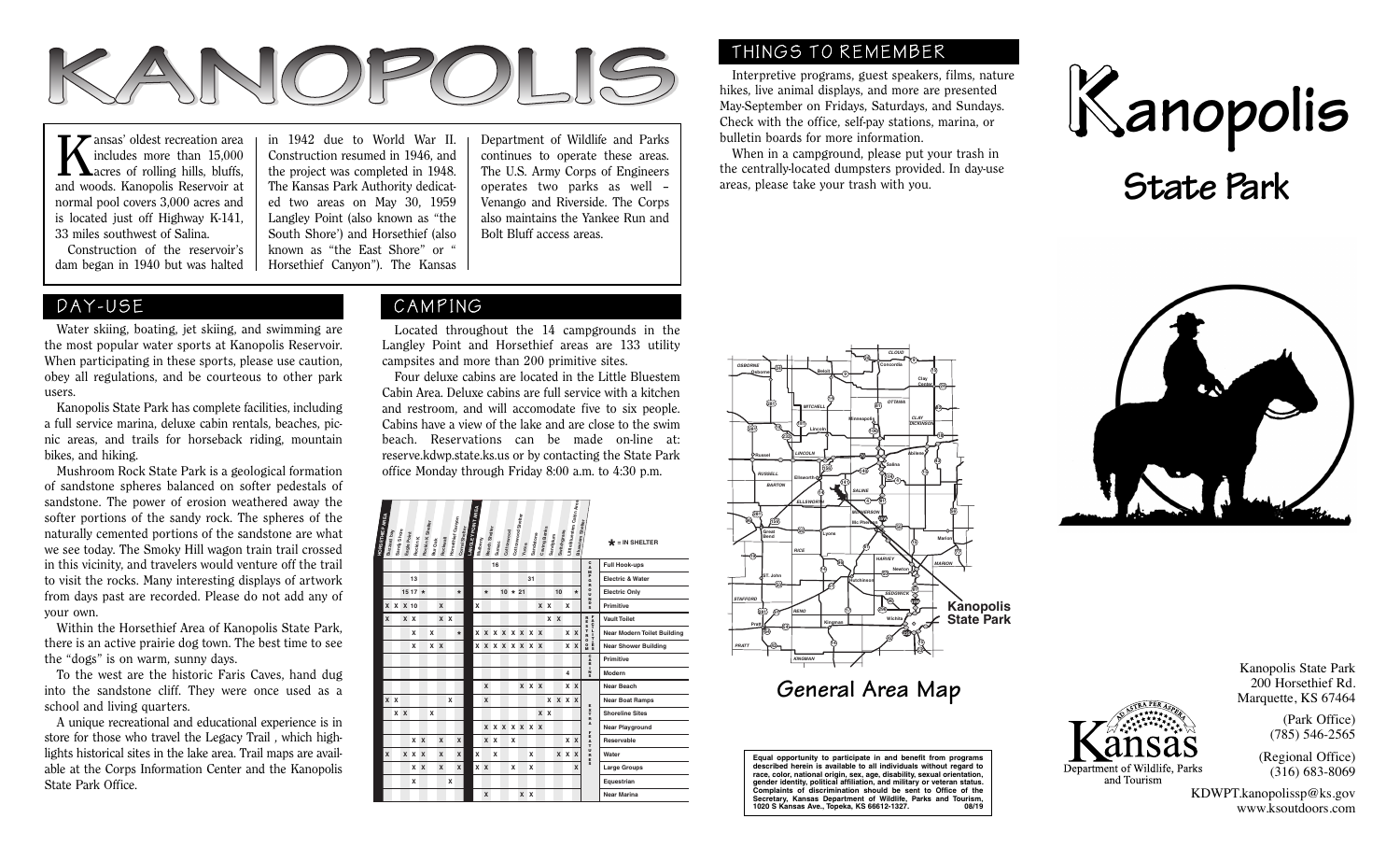

includes more than 15,000  $\blacksquare$   $\blacksquare$  acres of rolling hills, bluffs, and woods. Kanopolis Reservoir at normal pool covers 3,000 acres and is located just off Highway K-141, 33 miles southwest of Salina.

 Construction of the reservoir's dam began in 1940 but was halted ed two areas on May 30, 1959 Langley Point (also known as "the South Shore') and Horsethief (also known as "the East Shore" or " Horsethief Canyon"). The Kansas

in 1942 due to World War II. Construction resumed in 1946, and the project was completed in 1948. The Kansas Park Authority dedicat-Department of Wildlife and Parks continues to operate these areas. The U.S. Army Corps of Engineers operates two parks as well – Venango and Riverside. The Corps also maintains the Yankee Run and Bolt Bluff access areas.

# DAY-USE

 Water skiing, boating, jet skiing, and swimming are the most popular water sports at Kanopolis Reservoir. When participating in these sports, please use caution, obey all regulations, and be courteous to other park users.

 Kanopolis State Park has complete facilities, including a full service marina, deluxe cabin rentals, beaches, picnic areas, and trails for horseback riding, mountain bikes, and hiking.

 Mushroom Rock State Park is a geological formation of sandstone spheres balanced on softer pedestals of sandstone. The power of erosion weathered away the softer portions of the sandy rock. The spheres of the naturally cemented portions of the sandstone are what we see today. The Smoky Hill wagon train trail crossed in this vicinity, and travelers would venture off the trail to visit the rocks. Many interesting displays of artwork from days past are recorded. Please do not add any of your own.

 Within the Horsethief Area of Kanopolis State Park, there is an active prairie dog town. The best time to see the "dogs" is on warm, sunny days.

 To the west are the historic Faris Caves, hand dug into the sandstone cliff. They were once used as a school and living quarters.

 A unique recreational and educational experience is in store for those who travel the Legacy Trail , which highlights historical sites in the lake area. Trail maps are available at the Corps Information Center and the Kanopolis State Park Office.

## CAMPING

 Located throughout the 14 campgrounds in the Langley Point and Horsethief areas are 133 utility campsites and more than 200 primitive sites.

 Four deluxe cabins are located in the Little Bluestem Cabin Area. Deluxe cabins are full service with a kitchen and restroom, and will accomodate five to six people. Cabins have a view of the lake and are close to the swim beach. Reservations can be made on-line at: reserve.kdwp.state.ks.us or by contacting the State Park office Monday through Friday 8:00 a.m. to 4:30 p.m.

|                        |              |              |             |          |                  |              |          |                   |                |                                       |               |       |                      |                    |       |           |              |          |                    | Little Bluestem Cabin Area |                          |                                        |                                    |
|------------------------|--------------|--------------|-------------|----------|------------------|--------------|----------|-------------------|----------------|---------------------------------------|---------------|-------|----------------------|--------------------|-------|-----------|--------------|----------|--------------------|----------------------------|--------------------------|----------------------------------------|------------------------------------|
| <b>HORSETHIEF AREA</b> | Buzzard bay  | Sandy Shore  | Eagle Point | Rockin K | Rockin K Shelter | Bur Oak      | Rockwall | Horsethief Canyon | Corral Shelter | LANGLEY POINT AREA<br><b>Mulberry</b> | Beach Shelter | Sumac | Cottonwood           | Cottonwood Shelter | Yucca | Sandstone | Caving Banks | Sandplum | <b>Switchgrass</b> |                            | <b>Bluestern Shelter</b> |                                        | $\bigstar$ = IN SHELTER            |
|                        |              |              |             |          |                  |              |          |                   |                |                                       | 16            |       |                      |                    |       |           |              |          |                    |                            | $\frac{c}{A}$<br>M       | <b>Full Hook-ups</b>                   |                                    |
|                        |              |              | 13          |          |                  |              |          |                   |                |                                       |               |       |                      |                    |       | 31        |              |          |                    |                            |                          | P<br>G                                 | <b>Electric &amp; Water</b>        |
|                        |              |              |             | 15 17 *  |                  |              |          |                   | $\star$        |                                       | $\star$       |       | $10 * 21$            |                    |       |           |              |          | 10                 |                            | $\star$                  | E<br>O<br>U<br>$\overline{\mathbf{N}}$ | <b>Electric Only</b>               |
|                        |              | x x          | $X$ 10      |          |                  |              | X        |                   |                | $\boldsymbol{\mathsf{x}}$             |               |       |                      |                    |       |           |              | x x      |                    | x                          |                          | D<br>$\mathbf{s}$                      | <b>Primitive</b>                   |
|                        | x            |              | X X         |          |                  |              |          | $x \times$        |                |                                       |               |       |                      |                    |       |           |              |          | x x                |                            |                          |                                        | <b>Vault Toilet</b>                |
|                        |              |              |             | X        |                  | X            |          |                   | $\star$        | x                                     | X             |       | <b>XXXXXX</b>        |                    |       |           |              |          |                    | $\mathsf{x}$               | $\mathsf{x}$             | RESTROOM<br>TROPLES                    | <b>Near Modern Toilet Building</b> |
|                        |              |              |             | x        |                  | $\mathsf{x}$ | X        |                   |                | x                                     |               |       | <b>x x x x x x x</b> |                    |       |           |              |          |                    | $\mathsf{x}$               | X                        |                                        | <b>Near Shower Building</b>        |
|                        |              |              |             |          |                  |              |          |                   |                |                                       |               |       |                      |                    |       |           |              |          |                    |                            |                          | C<br>B<br>B                            | Primitive                          |
|                        |              |              |             |          |                  |              |          |                   |                |                                       |               |       |                      |                    |       |           |              |          |                    | $\overline{\mathbf{4}}$    |                          | $\bar{1}$<br>$\mathbf{s}$              | Modern                             |
|                        |              |              |             |          |                  |              |          |                   |                |                                       | X             |       |                      |                    |       | x x x     |              |          |                    | x x                        |                          |                                        | Near Beach                         |
|                        | x x          |              |             |          |                  |              |          | x                 |                |                                       | $\mathbf x$   |       |                      |                    |       |           |              |          | <b>X X X X</b>     |                            |                          | E                                      | <b>Near Boat Ramps</b>             |
|                        |              | $\mathsf{x}$ | X           |          |                  | x            |          |                   |                |                                       |               |       |                      |                    |       |           |              | x x      |                    |                            |                          | $\mathbf{x}$<br>T<br>R                 | <b>Shoreline Sites</b>             |
|                        |              |              |             |          |                  |              |          |                   |                |                                       | $\mathbf{x}$  |       | <b>XXXXXX</b>        |                    |       |           |              |          |                    |                            |                          | A<br>F                                 | <b>Near Playground</b>             |
|                        |              |              |             | x        | $\mathsf{x}$     |              | x        |                   | X              |                                       |               | x x   |                      | X                  |       |           |              |          |                    |                            | x x                      | E<br>$\frac{A}{T}$                     | <b>Reservable</b>                  |
|                        | $\mathbf{x}$ |              | x x         |          | $\mathbf{x}$     |              | X        |                   | X              | X                                     |               | x     |                      |                    |       | x         |              |          |                    | x x                        | $\mathbf{x}$             | $\frac{1}{R}$<br>E<br>s                | Water                              |
|                        |              |              |             | x        | X                |              | x        |                   | x              | x                                     | $\mathbf{x}$  |       |                      | x                  |       | X         |              |          |                    |                            | X                        |                                        | <b>Large Groups</b>                |
|                        |              |              |             | X        |                  |              |          | x                 |                |                                       |               |       |                      |                    |       |           |              |          |                    |                            |                          |                                        | Equestrian                         |
|                        |              |              |             |          |                  |              |          |                   |                |                                       | X             |       |                      |                    | x x   |           |              |          |                    |                            |                          |                                        | <b>Near Marina</b>                 |



THINGS TO REMEMBER

bulletin boards for more information.

areas, please take your trash with you.

 Interpretive programs, guest speakers, films, nature hikes, live animal displays, and more are presented May-September on Fridays, Saturdays, and Sundays. Check with the office, self-pay stations, marina, or

 When in a campground, please put your trash in the centrally-located dumpsters provided. In day-use

# **General Area Map**

**Equal opportunity to participate in and benefit from programs described herein is available to all individuals without regard to race, color, national origin, sex, age, disability, sexual orientation, gender identity, political affiliation, and military or veteran status. Complaints of discrimination should be sent to Office of the Secretary, Kansas Department of Wildlife, Parks and Tourism, 1020 S Kansas Ave., Topeka, KS 66612-1327. 08/19**





Kanopolis State Park 200 Horsethief Rd. Marquette, KS 67464

> (Park Office) (785) 546-2565

(Regional Office) (316) 683-8069

KDWPT.kanopolissp@ks.gov www.ksoutdoors.com

Department of Wildlife, Parks and Tourism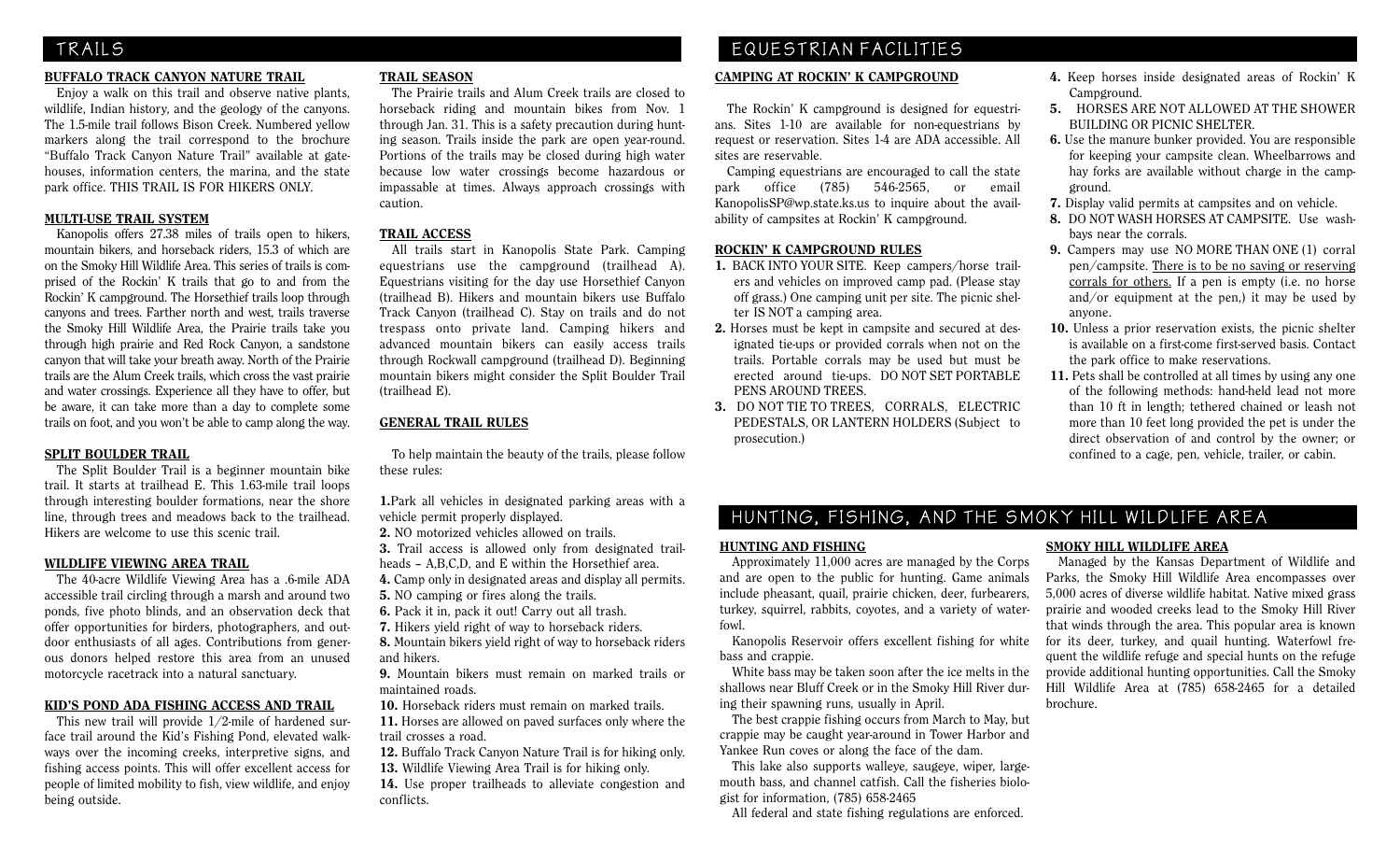#### BUFFALO TRACK CANYON NATURE TRAIL

 Enjoy a walk on this trail and observe native plants, wildlife, Indian history, and the geology of the canyons. The 1.5-mile trail follows Bison Creek. Numbered yellow markers along the trail correspond to the brochure "Buffalo Track Canyon Nature Trail" available at gatehouses, information centers, the marina, and the state park office. THIS TRAIL IS FOR HIKERS ONLY.

#### MULTI-USE TRAIL SYSTEM

 Kanopolis offers 27.38 miles of trails open to hikers, mountain bikers, and horseback riders, 15.3 of which are on the Smoky Hill Wildlife Area. This series of trails is comprised of the Rockin' K trails that go to and from the Rockin' K campground. The Horsethief trails loop through canyons and trees. Farther north and west, trails traverse the Smoky Hill Wildlife Area, the Prairie trails take you through high prairie and Red Rock Canyon, a sandstone canyon that will take your breath away. North of the Prairie trails are the Alum Creek trails, which cross the vast prairie and water crossings. Experience all they have to offer, but be aware, it can take more than a day to complete some trails on foot, and you won't be able to camp along the way.

#### SPLIT BOULDER TRAIL

 The Split Boulder Trail is a beginner mountain bike trail. It starts at trailhead E. This 1.63-mile trail loops through interesting boulder formations, near the shore line, through trees and meadows back to the trailhead. Hikers are welcome to use this scenic trail.

#### WILDLIFE VIEWING AREA TRAIL

 The 40-acre Wildlife Viewing Area has a .6-mile ADA accessible trail circling through a marsh and around two ponds, five photo blinds, and an observation deck that offer opportunities for birders, photographers, and outdoor enthusiasts of all ages. Contributions from generous donors helped restore this area from an unused motorcycle racetrack into a natural sanctuary.

#### KID'S POND ADA FISHING ACCESS AND TRAIL

 This new trail will provide 1/2-mile of hardened surface trail around the Kid's Fishing Pond, elevated walkways over the incoming creeks, interpretive signs, and fishing access points. This will offer excellent access for people of limited mobility to fish, view wildlife, and enjoy being outside.

#### TRAIL SEASON

 The Prairie trails and Alum Creek trails are closed to horseback riding and mountain bikes from Nov. 1 through Jan. 31. This is a safety precaution during hunting season. Trails inside the park are open year-round. Portions of the trails may be closed during high water because low water crossings become hazardous or impassable at times. Always approach crossings with caution.

#### TRAIL ACCESS

 All trails start in Kanopolis State Park. Camping equestrians use the campground (trailhead A). Equestrians visiting for the day use Horsethief Canyon (trailhead B). Hikers and mountain bikers use Buffalo Track Canyon (trailhead C). Stay on trails and do not trespass onto private land. Camping hikers and advanced mountain bikers can easily access trails through Rockwall campground (trailhead D). Beginning mountain bikers might consider the Split Boulder Trail (trailhead E).

### GENERAL TRAIL RULES

 To help maintain the beauty of the trails, please follow these rules:

1.Park all vehicles in designated parking areas with a vehicle permit properly displayed.

2. NO motorized vehicles allowed on trails.

- 3. Trail access is allowed only from designated trailheads – A,B,C,D, and E within the Horsethief area.
- 4. Camp only in designated areas and display all permits.
- 5. NO camping or fires along the trails.
- 6. Pack it in, pack it out! Carry out all trash.
- 7. Hikers yield right of way to horseback riders.
- 8. Mountain bikers yield right of way to horseback riders and hikers.

9. Mountain bikers must remain on marked trails or maintained roads.

10. Horseback riders must remain on marked trails. 11. Horses are allowed on paved surfaces only where the

trail crosses a road. 12. Buffalo Track Canyon Nature Trail is for hiking only.

13. Wildlife Viewing Area Trail is for hiking only.

14. Use proper trailheads to alleviate congestion and conflicts.

# TRAILS EQUESTRIAN FACILITIES

#### CAMPING AT ROCKIN' K CAMPGROUND

 The Rockin' K campground is designed for equestrians. Sites 1-10 are available for non-equestrians by request or reservation. Sites 1-4 are ADA accessible. All sites are reservable.

 Camping equestrians are encouraged to call the state park office (785) 546-2565, or email KanopolisSP@wp.state.ks.us to inquire about the availability of campsites at Rockin' K campground.

#### ROCKIN' K CAMPGROUND RULES

- 1. BACK INTO YOUR SITE. Keep campers/horse trailers and vehicles on improved camp pad. (Please stay off grass.) One camping unit per site. The picnic shelter IS NOT a camping area.
- 2. Horses must be kept in campsite and secured at designated tie-ups or provided corrals when not on the trails. Portable corrals may be used but must be erected around tie-ups. DO NOT SET PORTABLE PENS AROUND TREES.
- 3. DO NOT TIE TO TREES, CORRALS, ELECTRIC PEDESTALS, OR LANTERN HOLDERS (Subject to prosecution.)
- 4. Keep horses inside designated areas of Rockin' K Campground.
- 5. HORSES ARE NOT ALLOWED AT THE SHOWER BUILDING OR PICNIC SHELTER.
- 6. Use the manure bunker provided. You are responsible for keeping your campsite clean. Wheelbarrows and hay forks are available without charge in the campground.
- 7. Display valid permits at campsites and on vehicle.
- 8. DO NOT WASH HORSES AT CAMPSITE. Use washbays near the corrals.
- 9. Campers may use NO MORE THAN ONE (1) corral pen/campsite. There is to be no saving or reserving corrals for others. If a pen is empty (i.e. no horse and/or equipment at the pen,) it may be used by anyone.
- 10. Unless a prior reservation exists, the picnic shelter is available on a first-come first-served basis. Contact the park office to make reservations.
- 11. Pets shall be controlled at all times by using any one of the following methods: hand-held lead not more than 10 ft in length; tethered chained or leash not more than 10 feet long provided the pet is under the direct observation of and control by the owner; or confined to a cage, pen, vehicle, trailer, or cabin.

# HUNTING, FISHING, AND THE SMOKY HILL WILDLIFE AREA

#### HUNTING AND FISHING

 Approximately 11,000 acres are managed by the Corps and are open to the public for hunting. Game animals include pheasant, quail, prairie chicken, deer, furbearers, turkey, squirrel, rabbits, coyotes, and a variety of waterfowl.

 Kanopolis Reservoir offers excellent fishing for white bass and crappie.

 White bass may be taken soon after the ice melts in the shallows near Bluff Creek or in the Smoky Hill River during their spawning runs, usually in April.

 The best crappie fishing occurs from March to May, but crappie may be caught year-around in Tower Harbor and Yankee Run coves or along the face of the dam.

 This lake also supports walleye, saugeye, wiper, largemouth bass, and channel catfish. Call the fisheries biologist for information, (785) 658-2465

All federal and state fishing regulations are enforced.

#### SMOKY HILL WILDLIFE AREA

 Managed by the Kansas Department of Wildlife and Parks, the Smoky Hill Wildlife Area encompasses over 5,000 acres of diverse wildlife habitat. Native mixed grass prairie and wooded creeks lead to the Smoky Hill River that winds through the area. This popular area is known for its deer, turkey, and quail hunting. Waterfowl frequent the wildlife refuge and special hunts on the refuge provide additional hunting opportunities. Call the Smoky Hill Wildlife Area at (785) 658-2465 for a detailed brochure.